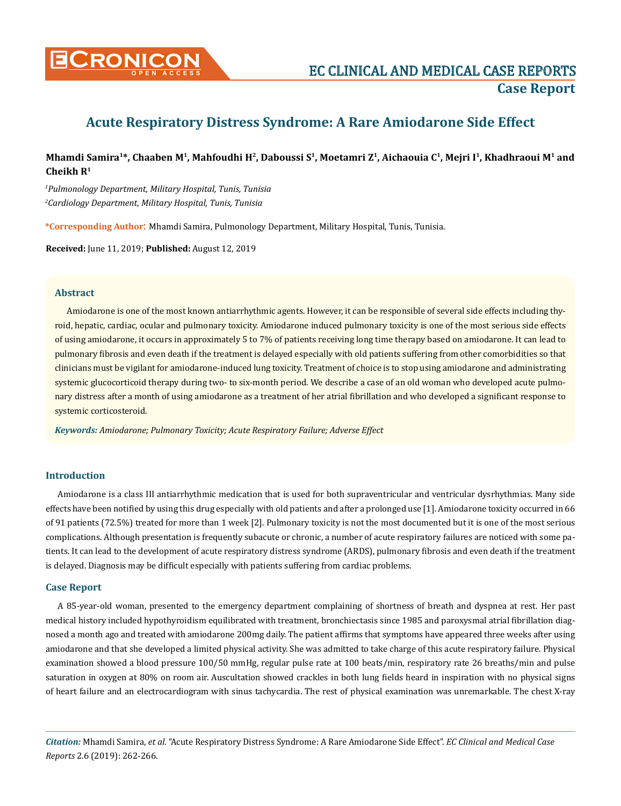

# **Acute Respiratory Distress Syndrome: A Rare Amiodarone Side Effect**

## **Mhamdi Samira1\*, Chaaben M1, Mahfoudhi H2, Daboussi S1, Moetamri Z1, Aichaouia C1, Mejri I1, Khadhraoui M1 and Cheikh R1**

*1 Pulmonology Department, Military Hospital, Tunis, Tunisia 2 Cardiology Department, Military Hospital, Tunis, Tunisia*

**\*Corresponding Author**: Mhamdi Samira, Pulmonology Department, Military Hospital, Tunis, Tunisia.

**Received:** June 11, 2019; **Published:** August 12, 2019

#### **Abstract**

Amiodarone is one of the most known antiarrhythmic agents. However, it can be responsible of several side effects including thyroid, hepatic, cardiac, ocular and pulmonary toxicity. Amiodarone induced pulmonary toxicity is one of the most serious side effects of using amiodarone, it occurs in approximately 5 to 7% of patients receiving long time therapy based on amiodarone. It can lead to pulmonary fibrosis and even death if the treatment is delayed especially with old patients suffering from other comorbidities so that clinicians must be vigilant for amiodarone-induced lung toxicity. Treatment of choice is to stop using amiodarone and administrating systemic glucocorticoid therapy during two- to six-month period. We describe a case of an old woman who developed acute pulmonary distress after a month of using amiodarone as a treatment of her atrial fibrillation and who developed a significant response to systemic corticosteroid.

*Keywords: Amiodarone; Pulmonary Toxicity; Acute Respiratory Failure; Adverse Effect* 

## **Introduction**

Amiodarone is a class III antiarrhythmic medication that is used for both supraventricular and ventricular dysrhythmias. Many side effects have been notified by using this drug especially with old patients and after a prolonged use [1]. Amiodarone toxicity occurred in 66 of 91 patients (72.5%) treated for more than 1 week [2]. Pulmonary toxicity is not the most documented but it is one of the most serious complications. Although presentation is frequently subacute or chronic, a number of acute respiratory failures are noticed with some patients. It can lead to the development of acute respiratory distress syndrome (ARDS), pulmonary fibrosis and even death if the treatment is delayed. Diagnosis may be difficult especially with patients suffering from cardiac problems.

#### **Case Report**

A 85-year-old woman, presented to the emergency department complaining of shortness of breath and dyspnea at rest. Her past medical history included hypothyroidism equilibrated with treatment, bronchiectasis since 1985 and paroxysmal atrial fibrillation diagnosed a month ago and treated with amiodarone 200mg daily. The patient affirms that symptoms have appeared three weeks after using amiodarone and that she developed a limited physical activity. She was admitted to take charge of this acute respiratory failure. Physical examination showed a blood pressure 100/50 mmHg, regular pulse rate at 100 beats/min, respiratory rate 26 breaths/min and pulse saturation in oxygen at 80% on room air. Auscultation showed crackles in both lung fields heard in inspiration with no physical signs of heart failure and an electrocardiogram with sinus tachycardia. The rest of physical examination was unremarkable. The chest X-ray

*Citation:* Mhamdi Samira, *et al*. "Acute Respiratory Distress Syndrome: A Rare Amiodarone Side Effect". *EC Clinical and Medical Case Reports* 2.6 (2019): 262-266.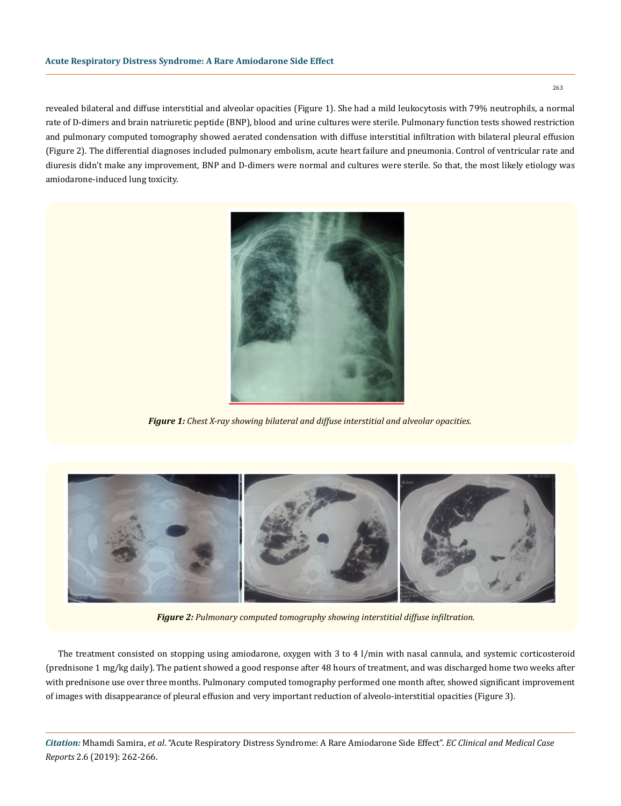revealed bilateral and diffuse interstitial and alveolar opacities (Figure 1). She had a mild leukocytosis with 79% neutrophils, a normal rate of D-dimers and brain natriuretic peptide (BNP), blood and urine cultures were sterile. Pulmonary function tests showed restriction and pulmonary computed tomography showed aerated condensation with diffuse interstitial infiltration with bilateral pleural effusion (Figure 2). The differential diagnoses included pulmonary embolism, acute heart failure and pneumonia. Control of ventricular rate and diuresis didn't make any improvement, BNP and D-dimers were normal and cultures were sterile. So that, the most likely etiology was amiodarone-induced lung toxicity.



*Figure 1: Chest X-ray showing bilateral and diffuse interstitial and alveolar opacities.*



*Figure 2: Pulmonary computed tomography showing interstitial diffuse infiltration.*

The treatment consisted on stopping using amiodarone, oxygen with 3 to 4 l/min with nasal cannula, and systemic corticosteroid (prednisone 1 mg/kg daily). The patient showed a good response after 48 hours of treatment, and was discharged home two weeks after with prednisone use over three months. Pulmonary computed tomography performed one month after, showed significant improvement of images with disappearance of pleural effusion and very important reduction of alveolo-interstitial opacities (Figure 3).

*Citation:* Mhamdi Samira, *et al*. "Acute Respiratory Distress Syndrome: A Rare Amiodarone Side Effect". *EC Clinical and Medical Case Reports* 2.6 (2019): 262-266.

263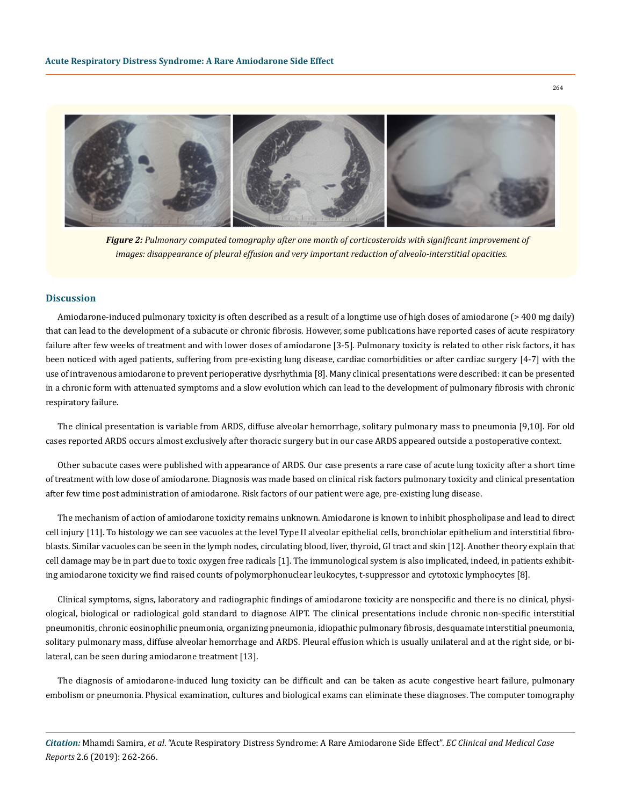

*Figure 2: Pulmonary computed tomography after one month of corticosteroids with significant improvement of images: disappearance of pleural effusion and very important reduction of alveolo-interstitial opacities.*

#### **Discussion**

Amiodarone-induced pulmonary toxicity is often described as a result of a longtime use of high doses of amiodarone (> 400 mg daily) that can lead to the development of a subacute or chronic fibrosis. However, some publications have reported cases of acute respiratory failure after few weeks of treatment and with lower doses of amiodarone [3-5]. Pulmonary toxicity is related to other risk factors, it has been noticed with aged patients, suffering from pre-existing lung disease, cardiac comorbidities or after cardiac surgery [4-7] with the use of intravenous amiodarone to prevent perioperative dysrhythmia [8]. Many clinical presentations were described: it can be presented in a chronic form with attenuated symptoms and a slow evolution which can lead to the development of pulmonary fibrosis with chronic respiratory failure.

The clinical presentation is variable from ARDS, diffuse alveolar hemorrhage, solitary pulmonary mass to pneumonia [9,10]. For old cases reported ARDS occurs almost exclusively after thoracic surgery but in our case ARDS appeared outside a postoperative context.

Other subacute cases were published with appearance of ARDS. Our case presents a rare case of acute lung toxicity after a short time of treatment with low dose of amiodarone. Diagnosis was made based on clinical risk factors pulmonary toxicity and clinical presentation after few time post administration of amiodarone. Risk factors of our patient were age, pre-existing lung disease.

The mechanism of action of amiodarone toxicity remains unknown. Amiodarone is known to inhibit phospholipase and lead to direct cell injury [11]. To histology we can see vacuoles at the level Type II alveolar epithelial cells, bronchiolar epithelium and interstitial fibroblasts. Similar vacuoles can be seen in the lymph nodes, circulating blood, liver, thyroid, GI tract and skin [12]. Another theory explain that cell damage may be in part due to toxic oxygen free radicals [1]. The immunological system is also implicated, indeed, in patients exhibiting amiodarone toxicity we find raised counts of polymorphonuclear leukocytes, t-suppressor and cytotoxic lymphocytes [8].

Clinical symptoms, signs, laboratory and radiographic findings of amiodarone toxicity are nonspecific and there is no clinical, physiological, biological or radiological gold standard to diagnose AIPT. The clinical presentations include chronic non-specific interstitial pneumonitis, chronic eosinophilic pneumonia, organizing pneumonia, idiopathic pulmonary fibrosis, desquamate interstitial pneumonia, solitary pulmonary mass, diffuse alveolar hemorrhage and ARDS. Pleural effusion which is usually unilateral and at the right side, or bilateral, can be seen during amiodarone treatment [13].

The diagnosis of amiodarone-induced lung toxicity can be difficult and can be taken as acute congestive heart failure, pulmonary embolism or pneumonia. Physical examination, cultures and biological exams can eliminate these diagnoses. The computer tomography

*Citation:* Mhamdi Samira, *et al*. "Acute Respiratory Distress Syndrome: A Rare Amiodarone Side Effect". *EC Clinical and Medical Case Reports* 2.6 (2019): 262-266.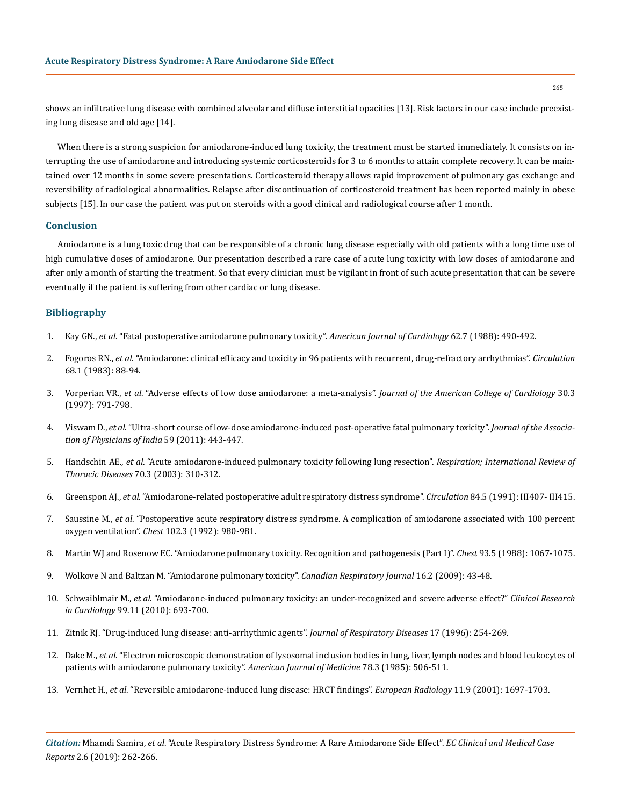shows an infiltrative lung disease with combined alveolar and diffuse interstitial opacities [13]. Risk factors in our case include preexisting lung disease and old age [14].

When there is a strong suspicion for amiodarone-induced lung toxicity, the treatment must be started immediately. It consists on interrupting the use of amiodarone and introducing systemic corticosteroids for 3 to 6 months to attain complete recovery. It can be maintained over 12 months in some severe presentations. Corticosteroid therapy allows rapid improvement of pulmonary gas exchange and reversibility of radiological abnormalities. Relapse after discontinuation of corticosteroid treatment has been reported mainly in obese subjects [15]. In our case the patient was put on steroids with a good clinical and radiological course after 1 month.

### **Conclusion**

Amiodarone is a lung toxic drug that can be responsible of a chronic lung disease especially with old patients with a long time use of high cumulative doses of amiodarone. Our presentation described a rare case of acute lung toxicity with low doses of amiodarone and after only a month of starting the treatment. So that every clinician must be vigilant in front of such acute presentation that can be severe eventually if the patient is suffering from other cardiac or lung disease.

## **Bibliography**

- 1. Kay GN., *et al*[. "Fatal postoperative amiodarone pulmonary toxicity".](https://www.ncbi.nlm.nih.gov/pubmed/3414530) *American Journal of Cardiology* 62.7 (1988): 490-492.
- 2. Fogoros RN., *et al*[. "Amiodarone: clinical efficacy and toxicity in 96 patients with recurrent, drug-refractory arrhythmias".](https://www.ncbi.nlm.nih.gov/pubmed/6851057) *Circulation* [68.1 \(1983\): 88-94.](https://www.ncbi.nlm.nih.gov/pubmed/6851057)
- 3. Vorperian VR., *et al*[. "Adverse effects of low dose amiodarone: a meta-analysis".](https://www.ncbi.nlm.nih.gov/pubmed/9283542) *Journal of the American College of Cardiology* 30.3 [\(1997\): 791-798.](https://www.ncbi.nlm.nih.gov/pubmed/9283542)
- 4. Viswam D., *et al*[. "Ultra-short course of low-dose amiodarone-induced post-operative fatal pulmonary toxicity".](https://www.ncbi.nlm.nih.gov/pubmed/22315750) *Journal of the Associa[tion of Physicians of India](https://www.ncbi.nlm.nih.gov/pubmed/22315750)* 59 (2011): 443-447.
- 5. Handschin AE., *et al*[. "Acute amiodarone-induced pulmonary toxicity following lung resection".](https://www.ncbi.nlm.nih.gov/pubmed/12915754) *Respiration; International Review of Thoracic Diseases* [70.3 \(2003\): 310-312.](https://www.ncbi.nlm.nih.gov/pubmed/12915754)
- 6. Greenspon AJ., *et al*[. "Amiodarone-related postoperative adult respiratory distress syndrome".](https://www.ncbi.nlm.nih.gov/pubmed/1934438) *Circulation* 84.5 (1991): III407- III415.
- 7. Saussine M., *et al*[. "Postoperative acute respiratory distress syndrome. A complication of amiodarone associated with 100 percent](https://www.ncbi.nlm.nih.gov/pubmed/1516446)  oxygen ventilation". *Chest* [102.3 \(1992\): 980-981.](https://www.ncbi.nlm.nih.gov/pubmed/1516446)
- 8. [Martin WJ and Rosenow EC. "Amiodarone pulmonary toxicity. Recognition and pathogenesis \(Part I\)".](https://www.ncbi.nlm.nih.gov/pubmed/3282816) *Chest* 93.5 (1988): 1067-1075.
- 9. [Wolkove N and Baltzan M. "Amiodarone pulmonary toxicity".](https://www.ncbi.nlm.nih.gov/pmc/articles/PMC2687560/) *Canadian Respiratory Journal* 16.2 (2009): 43-48.
- 10. Schwaiblmair M., *et al*[. "Amiodarone-induced pulmonary toxicity: an under-recognized and severe adverse effect?"](https://www.ncbi.nlm.nih.gov/pubmed/20623129) *Clinical Research in Cardiology* [99.11 \(2010\): 693-700.](https://www.ncbi.nlm.nih.gov/pubmed/20623129)
- 11. Zitnik RJ. "Drug-induced lung disease: anti-arrhythmic agents". *Journal of Respiratory Diseases* 17 (1996): 254-269.
- 12. Dake M., *et al*[. "Electron microscopic demonstration of lysosomal inclusion bodies in lung, liver, lymph nodes and blood leukocytes of](https://www.ncbi.nlm.nih.gov/pubmed/2983550)  [patients with amiodarone pulmonary toxicity".](https://www.ncbi.nlm.nih.gov/pubmed/2983550) *American Journal of Medicine* 78.3 (1985): 506-511.
- 13. Vernhet H., *et al*[. "Reversible amiodarone-induced lung disease: HRCT findings".](https://www.ncbi.nlm.nih.gov/pubmed/11511891) *European Radiology* 11.9 (2001): 1697-1703.

*Citation:* Mhamdi Samira, *et al*. "Acute Respiratory Distress Syndrome: A Rare Amiodarone Side Effect". *EC Clinical and Medical Case Reports* 2.6 (2019): 262-266.

265